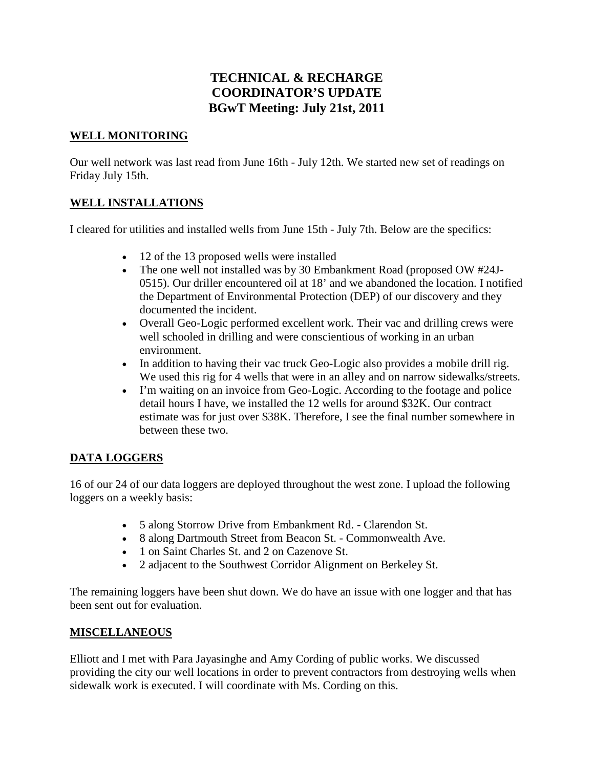# **TECHNICAL & RECHARGE COORDINATOR'S UPDATE BGwT Meeting: July 21st, 2011**

#### **WELL MONITORING**

Our well network was last read from June 16th - July 12th. We started new set of readings on Friday July 15th.

### **WELL INSTALLATIONS**

I cleared for utilities and installed wells from June 15th - July 7th. Below are the specifics:

- 12 of the 13 proposed wells were installed
- The one well not installed was by 30 Embankment Road (proposed OW #24J-0515). Our driller encountered oil at 18' and we abandoned the location. I notified the Department of Environmental Protection (DEP) of our discovery and they documented the incident.
- Overall Geo-Logic performed excellent work. Their vac and drilling crews were well schooled in drilling and were conscientious of working in an urban environment.
- In addition to having their vac truck Geo-Logic also provides a mobile drill rig. We used this rig for 4 wells that were in an alley and on narrow sidewalks/streets.
- I'm waiting on an invoice from Geo-Logic. According to the footage and police detail hours I have, we installed the 12 wells for around \$32K. Our contract estimate was for just over \$38K. Therefore, I see the final number somewhere in between these two.

### **DATA LOGGERS**

16 of our 24 of our data loggers are deployed throughout the west zone. I upload the following loggers on a weekly basis:

- 5 along Storrow Drive from Embankment Rd. Clarendon St.
- 8 along Dartmouth Street from Beacon St. Commonwealth Ave.
- 1 on Saint Charles St. and 2 on Cazenove St.
- 2 adjacent to the Southwest Corridor Alignment on Berkeley St.

The remaining loggers have been shut down. We do have an issue with one logger and that has been sent out for evaluation.

### **MISCELLANEOUS**

Elliott and I met with Para Jayasinghe and Amy Cording of public works. We discussed providing the city our well locations in order to prevent contractors from destroying wells when sidewalk work is executed. I will coordinate with Ms. Cording on this.